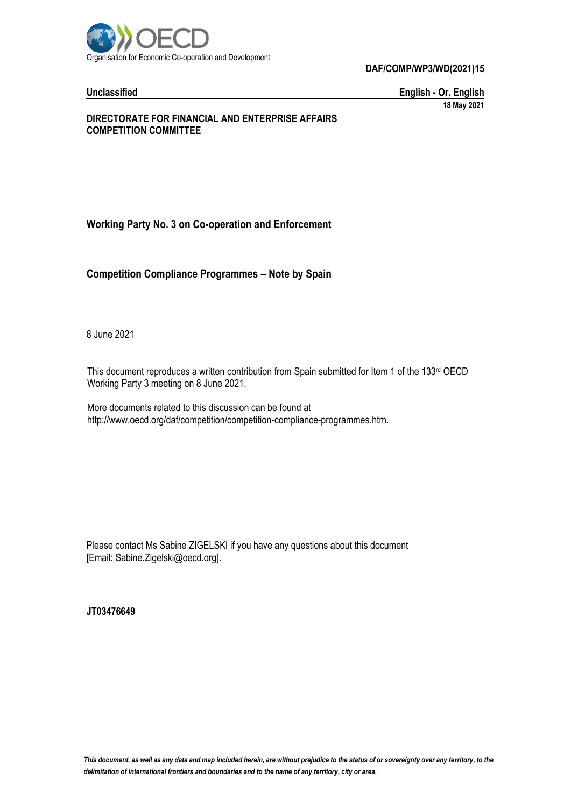

**Unclassified English - Or. English 18 May 2021**

#### **DIRECTORATE FOR FINANCIAL AND ENTERPRISE AFFAIRS COMPETITION COMMITTEE**

# **Working Party No. 3 on Co-operation and Enforcement**

**Competition Compliance Programmes – Note by Spain**

8 June 2021

This document reproduces a written contribution from Spain submitted for Item 1 of the 133<sup>rd</sup> OECD Working Party 3 meeting on 8 June 2021.

More documents related to this discussion can be found at http://www.oecd.org/daf/competition/competition-compliance-programmes.htm.

Please contact Ms Sabine ZIGELSKI if you have any questions about this document [Email: Sabine.Zigelski@oecd.org].

**JT03476649**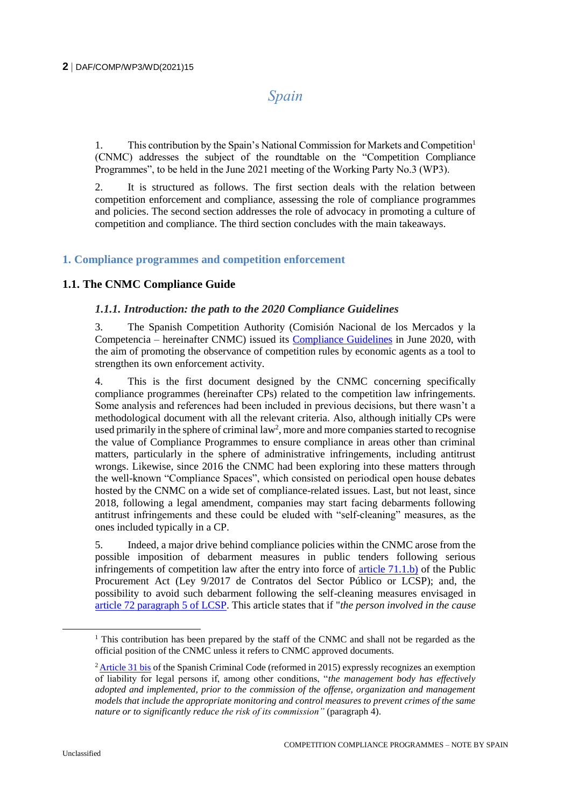# *Spain*

1. This contribution by the Spain's National Commission for Markets and Competition<sup>1</sup> (CNMC) addresses the subject of the roundtable on the "Competition Compliance Programmes", to be held in the June 2021 meeting of the Working Party No.3 (WP3).

2. It is structured as follows. The first section deals with the relation between competition enforcement and compliance, assessing the role of compliance programmes and policies. The second section addresses the role of advocacy in promoting a culture of competition and compliance. The third section concludes with the main takeaways.

# **1. Compliance programmes and competition enforcement**

# **1.1. The CNMC Compliance Guide**

#### *1.1.1. Introduction: the path to the 2020 Compliance Guidelines*

3. The Spanish Competition Authority (Comisión Nacional de los Mercados y la Competencia – hereinafter CNMC) issued its [Compliance Guidelines](https://www.cnmc.es/sites/default/files/editor_contenidos/Competencia/Normativas_guias/202006_Guia_Compliance_FINAL_eng.pdf) in June 2020, with the aim of promoting the observance of competition rules by economic agents as a tool to strengthen its own enforcement activity.

4. This is the first document designed by the CNMC concerning specifically compliance programmes (hereinafter CPs) related to the competition law infringements. Some analysis and references had been included in previous decisions, but there wasn't a methodological document with all the relevant criteria. Also, although initially CPs were used primarily in the sphere of criminal law<sup>2</sup>, more and more companies started to recognise the value of Compliance Programmes to ensure compliance in areas other than criminal matters, particularly in the sphere of administrative infringements, including antitrust wrongs. Likewise, since 2016 the CNMC had been exploring into these matters through the well-known "Compliance Spaces", which consisted on periodical open house debates hosted by the CNMC on a wide set of compliance-related issues. Last, but not least, since 2018, following a legal amendment, companies may start facing debarments following antitrust infringements and these could be eluded with "self-cleaning" measures, as the ones included typically in a CP.

5. Indeed, a major drive behind compliance policies within the CNMC arose from the possible imposition of debarment measures in public tenders following serious infringements of competition law after the entry into force of [article 71.1.b\)](https://www.boe.es/buscar/act.php?id=BOE-A-2017-12902&p=20210423&tn=1#a7-3) of the Public Procurement Act (Ley 9/2017 de Contratos del Sector Público or LCSP); and, the possibility to avoid such debarment following the self-cleaning measures envisaged in [article 72 paragraph 5 of LCSP.](https://www.boe.es/buscar/act.php?id=BOE-A-2017-12902&p=20210423&tn=1#a7-4) This article states that if "*the person involved in the cause* 

<sup>&</sup>lt;sup>1</sup> This contribution has been prepared by the staff of the CNMC and shall not be regarded as the official position of the CNMC unless it refers to CNMC approved documents.

<sup>&</sup>lt;sup>2</sup> [Article 31 bis](https://www.boe.es/buscar/act.php?id=BOE-A-1995-25444&p=20201217&tn=1#a31bis) of the Spanish Criminal Code (reformed in 2015) expressly recognizes an exemption of liability for legal persons if, among other conditions, "*the management body has effectively adopted and implemented, prior to the commission of the offense, organization and management models that include the appropriate monitoring and control measures to prevent crimes of the same nature or to significantly reduce the risk of its commission"* (paragraph 4).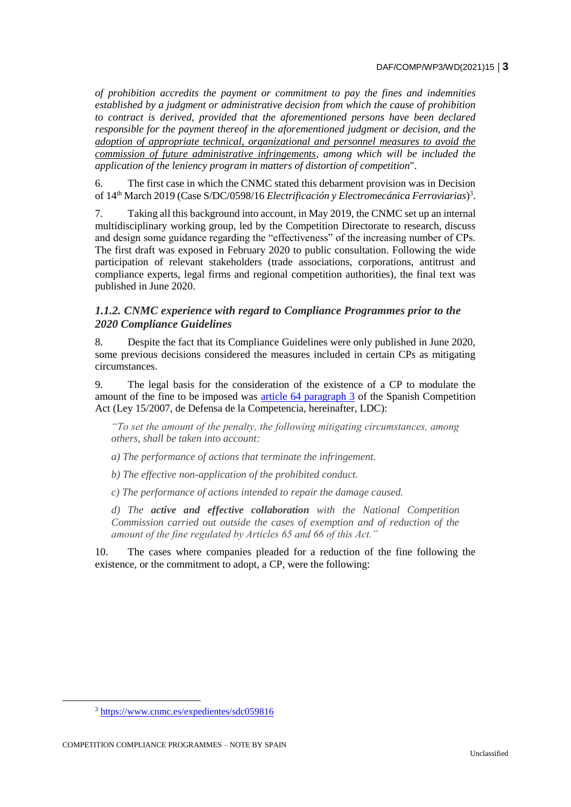*of prohibition accredits the payment or commitment to pay the fines and indemnities established by a judgment or administrative decision from which the cause of prohibition to contract is derived, provided that the aforementioned persons have been declared responsible for the payment thereof in the aforementioned judgment or decision, and the adoption of appropriate technical, organizational and personnel measures to avoid the commission of future administrative infringements, among which will be included the application of the leniency program in matters of distortion of competition*".

6. The first case in which the CNMC stated this debarment provision was in Decision of 14<sup>th</sup> March 2019 (Case S/DC/0598/16 *Electrificación y Electromecánica Ferroviarias*)<sup>3</sup>.

7. Taking all this background into account, in May 2019, the CNMC set up an internal multidisciplinary working group, led by the Competition Directorate to research, discuss and design some guidance regarding the "effectiveness" of the increasing number of CPs. The first draft was exposed in February 2020 to public consultation. Following the wide participation of relevant stakeholders (trade associations, corporations, antitrust and compliance experts, legal firms and regional competition authorities), the final text was published in June 2020.

# *1.1.2. CNMC experience with regard to Compliance Programmes prior to the 2020 Compliance Guidelines*

8. Despite the fact that its Compliance Guidelines were only published in June 2020, some previous decisions considered the measures included in certain CPs as mitigating circumstances.

9. The legal basis for the consideration of the existence of a CP to modulate the amount of the fine to be imposed was [article 64 paragraph 3](https://www.boe.es/buscar/act.php?id=BOE-A-2007-12946&p=20210428&tn=1#a64) of the Spanish Competition Act (Ley 15/2007, de Defensa de la Competencia, hereinafter, LDC):

*"To set the amount of the penalty, the following mitigating circumstances, among others, shall be taken into account:*

*a) The performance of actions that terminate the infringement.*

*b) The effective non-application of the prohibited conduct.*

*c) The performance of actions intended to repair the damage caused.*

*d) The active and effective collaboration with the National Competition Commission carried out outside the cases of exemption and of reduction of the amount of the fine regulated by Articles 65 and 66 of this Act."*

10. The cases where companies pleaded for a reduction of the fine following the existence, or the commitment to adopt, a CP, were the following:

<sup>3</sup> <https://www.cnmc.es/expedientes/sdc059816>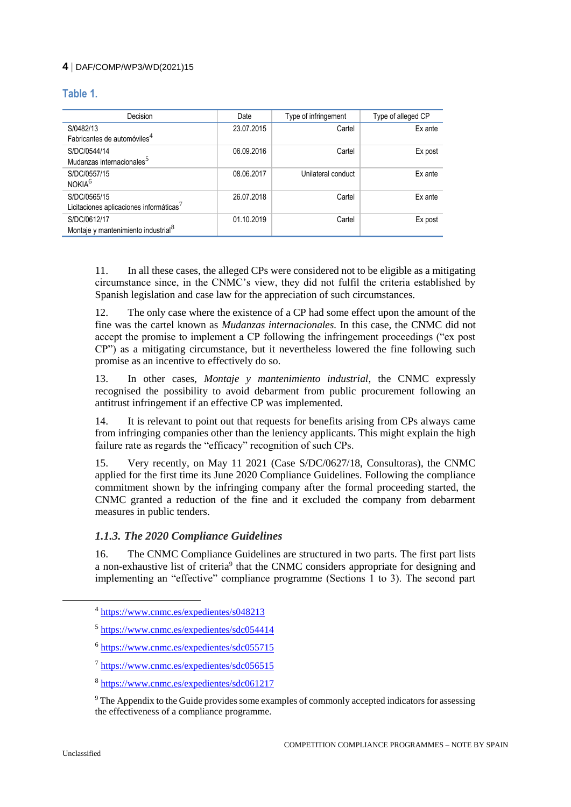# **Table 1.**

| Decision                                            | Date       | Type of infringement | Type of alleged CP |
|-----------------------------------------------------|------------|----------------------|--------------------|
| S/0482/13                                           | 23.07.2015 | Cartel               | Ex ante            |
| Fabricantes de automóviles <sup>4</sup>             |            |                      |                    |
| S/DC/0544/14                                        | 06.09.2016 | Cartel               | Ex post            |
| Mudanzas internacionales <sup>5</sup>               |            |                      |                    |
| S/DC/0557/15                                        | 08.06.2017 | Unilateral conduct   | Ex ante            |
| NOKIA <sup>6</sup>                                  |            |                      |                    |
| S/DC/0565/15                                        | 26.07.2018 | Cartel               | Ex ante            |
| Licitaciones aplicaciones informáticas <sup>7</sup> |            |                      |                    |
| S/DC/0612/17                                        | 01.10.2019 | Cartel               | Ex post            |
| Montaje y mantenimiento industrial <sup>8</sup>     |            |                      |                    |

11. In all these cases, the alleged CPs were considered not to be eligible as a mitigating circumstance since, in the CNMC's view, they did not fulfil the criteria established by Spanish legislation and case law for the appreciation of such circumstances.

12. The only case where the existence of a CP had some effect upon the amount of the fine was the cartel known as *Mudanzas internacionales.* In this case, the CNMC did not accept the promise to implement a CP following the infringement proceedings ("ex post CP") as a mitigating circumstance, but it nevertheless lowered the fine following such promise as an incentive to effectively do so.

13. In other cases, *Montaje y mantenimiento industrial*, the CNMC expressly recognised the possibility to avoid debarment from public procurement following an antitrust infringement if an effective CP was implemented.

14. It is relevant to point out that requests for benefits arising from CPs always came from infringing companies other than the leniency applicants. This might explain the high failure rate as regards the "efficacy" recognition of such CPs.

15. Very recently, on May 11 2021 (Case S/DC/0627/18, Consultoras), the CNMC applied for the first time its June 2020 Compliance Guidelines. Following the compliance commitment shown by the infringing company after the formal proceeding started, the CNMC granted a reduction of the fine and it excluded the company from debarment measures in public tenders.

# *1.1.3. The 2020 Compliance Guidelines*

16. The CNMC Compliance Guidelines are structured in two parts. The first part lists a non-exhaustive list of criteria<sup>9</sup> that the CNMC considers appropriate for designing and implementing an "effective" compliance programme (Sections 1 to 3). The second part

<sup>&</sup>lt;sup>4</sup> <https://www.cnmc.es/expedientes/s048213>

<sup>&</sup>lt;sup>5</sup> <https://www.cnmc.es/expedientes/sdc054414>

<sup>&</sup>lt;sup>6</sup> <https://www.cnmc.es/expedientes/sdc055715>

<sup>&</sup>lt;sup>7</sup> <https://www.cnmc.es/expedientes/sdc056515>

<sup>8</sup> <https://www.cnmc.es/expedientes/sdc061217>

<sup>&</sup>lt;sup>9</sup> The Appendix to the Guide provides some examples of commonly accepted indicators for assessing the effectiveness of a compliance programme.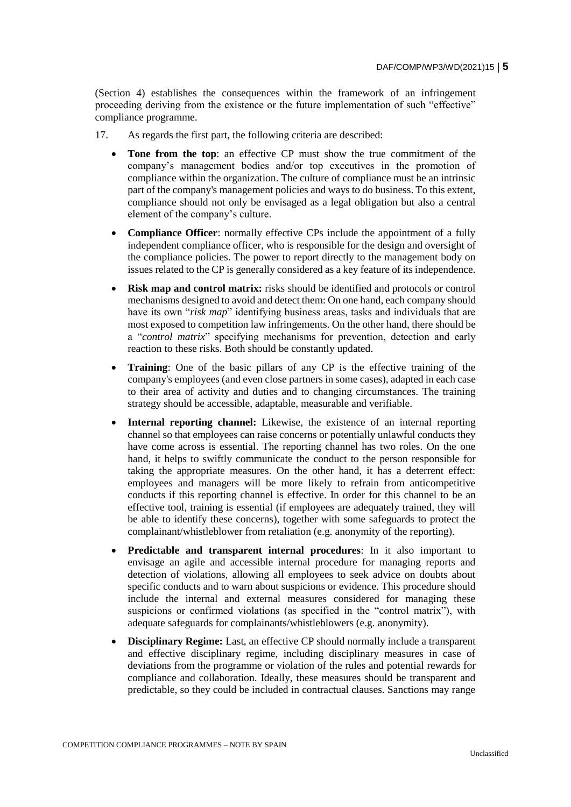(Section 4) establishes the consequences within the framework of an infringement proceeding deriving from the existence or the future implementation of such "effective" compliance programme.

- 17. As regards the first part, the following criteria are described:
	- **Tone from the top**: an effective CP must show the true commitment of the company's management bodies and/or top executives in the promotion of compliance within the organization. The culture of compliance must be an intrinsic part of the company's management policies and ways to do business. To this extent, compliance should not only be envisaged as a legal obligation but also a central element of the company's culture.
	- **Compliance Officer**: normally effective CPs include the appointment of a fully independent compliance officer, who is responsible for the design and oversight of the compliance policies. The power to report directly to the management body on issues related to the CP is generally considered as a key feature of its independence.
	- **Risk map and control matrix:** risks should be identified and protocols or control mechanisms designed to avoid and detect them: On one hand, each company should have its own "*risk map*" identifying business areas, tasks and individuals that are most exposed to competition law infringements. On the other hand, there should be a "*control matrix*" specifying mechanisms for prevention, detection and early reaction to these risks. Both should be constantly updated.
	- **Training**: One of the basic pillars of any CP is the effective training of the company's employees (and even close partners in some cases), adapted in each case to their area of activity and duties and to changing circumstances. The training strategy should be accessible, adaptable, measurable and verifiable.
	- **Internal reporting channel:** Likewise, the existence of an internal reporting channel so that employees can raise concerns or potentially unlawful conducts they have come across is essential. The reporting channel has two roles. On the one hand, it helps to swiftly communicate the conduct to the person responsible for taking the appropriate measures. On the other hand, it has a deterrent effect: employees and managers will be more likely to refrain from anticompetitive conducts if this reporting channel is effective. In order for this channel to be an effective tool, training is essential (if employees are adequately trained, they will be able to identify these concerns), together with some safeguards to protect the complainant/whistleblower from retaliation (e.g. anonymity of the reporting).
	- **Predictable and transparent internal procedures**: In it also important to envisage an agile and accessible internal procedure for managing reports and detection of violations, allowing all employees to seek advice on doubts about specific conducts and to warn about suspicions or evidence. This procedure should include the internal and external measures considered for managing these suspicions or confirmed violations (as specified in the "control matrix"), with adequate safeguards for complainants/whistleblowers (e.g. anonymity).
	- **Disciplinary Regime:** Last, an effective CP should normally include a transparent and effective disciplinary regime, including disciplinary measures in case of deviations from the programme or violation of the rules and potential rewards for compliance and collaboration. Ideally, these measures should be transparent and predictable, so they could be included in contractual clauses. Sanctions may range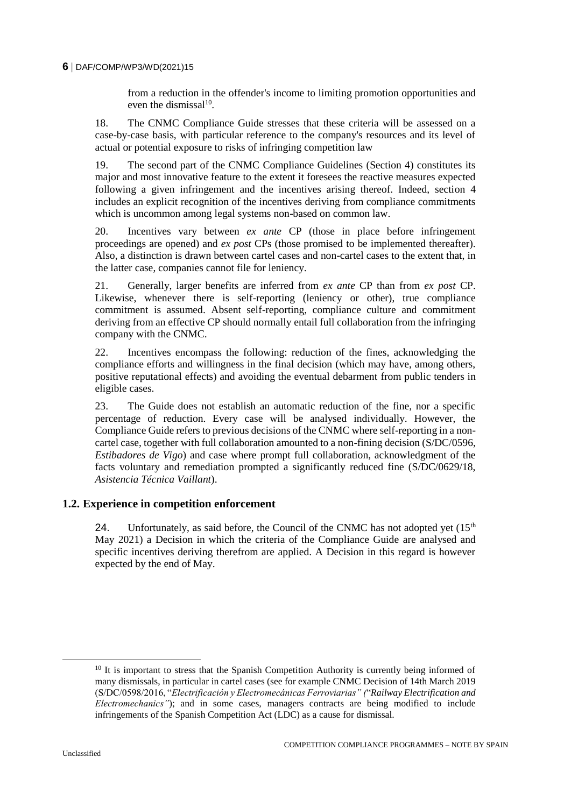from a reduction in the offender's income to limiting promotion opportunities and even the dismissal<sup>10</sup>.

18. The CNMC Compliance Guide stresses that these criteria will be assessed on a case-by-case basis, with particular reference to the company's resources and its level of actual or potential exposure to risks of infringing competition law

19. The second part of the CNMC Compliance Guidelines (Section 4) constitutes its major and most innovative feature to the extent it foresees the reactive measures expected following a given infringement and the incentives arising thereof. Indeed, section 4 includes an explicit recognition of the incentives deriving from compliance commitments which is uncommon among legal systems non-based on common law.

20. Incentives vary between *ex ante* CP (those in place before infringement proceedings are opened) and *ex post* CPs (those promised to be implemented thereafter). Also, a distinction is drawn between cartel cases and non-cartel cases to the extent that, in the latter case, companies cannot file for leniency.

21. Generally, larger benefits are inferred from *ex ante* CP than from *ex post* CP. Likewise, whenever there is self-reporting (leniency or other), true compliance commitment is assumed. Absent self-reporting, compliance culture and commitment deriving from an effective CP should normally entail full collaboration from the infringing company with the CNMC.

22. Incentives encompass the following: reduction of the fines, acknowledging the compliance efforts and willingness in the final decision (which may have, among others, positive reputational effects) and avoiding the eventual debarment from public tenders in eligible cases.

23. The Guide does not establish an automatic reduction of the fine, nor a specific percentage of reduction. Every case will be analysed individually. However, the Compliance Guide refers to previous decisions of the CNMC where self-reporting in a noncartel case, together with full collaboration amounted to a non-fining decision (S/DC/0596, *Estibadores de Vigo*) and case where prompt full collaboration, acknowledgment of the facts voluntary and remediation prompted a significantly reduced fine (S/DC/0629/18, *Asistencia Técnica Vaillant*).

# **1.2. Experience in competition enforcement**

24. Unfortunately, as said before, the Council of the CNMC has not adopted yet  $(15<sup>th</sup>$ May 2021) a Decision in which the criteria of the Compliance Guide are analysed and specific incentives deriving therefrom are applied. A Decision in this regard is however expected by the end of May.

 $10$  It is important to stress that the Spanish Competition Authority is currently being informed of many dismissals, in particular in cartel cases (see for example CNMC Decision of 14th March 2019 (S/DC/0598/2016, "*Electrificación y Electromecánicas Ferroviarias" (*"*Railway Electrification and Electromechanics"*); and in some cases, managers contracts are being modified to include infringements of the Spanish Competition Act (LDC) as a cause for dismissal.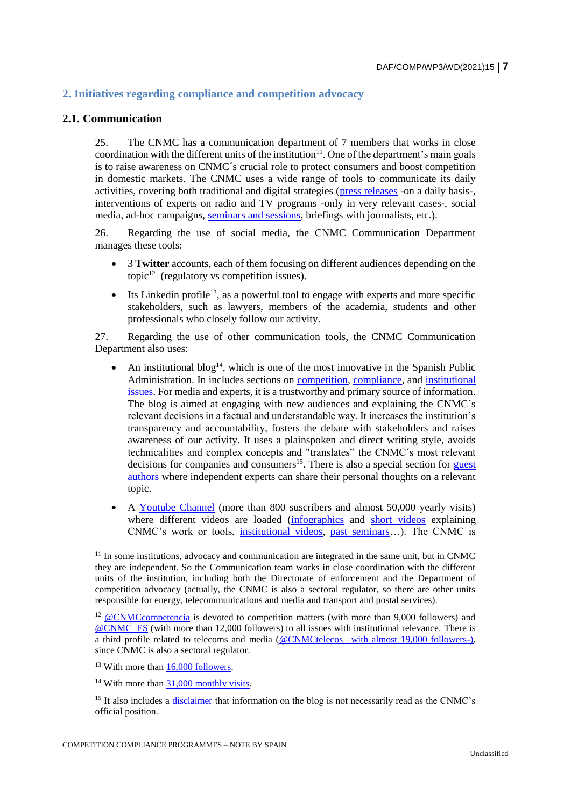# **2. Initiatives regarding compliance and competition advocacy**

#### **2.1. Communication**

25. The CNMC has a communication department of 7 members that works in close coordination with the different units of the institution $11$ . One of the department's main goals is to raise awareness on CNMC´s crucial role to protect consumers and boost competition in domestic markets. The CNMC uses a wide range of tools to communicate its daily activities, covering both traditional and digital strategies [\(press releases](https://www.cnmc.es/notas-de-prensa) -on a daily basis-, interventions of experts on radio and TV programs -only in very relevant cases-, social media, ad-hoc campaigns, [seminars and sessions,](https://www.cnmc.es/en/sobre-la-cnmc/actividad-institucional#jornadas) briefings with journalists, etc.).

26. Regarding the use of social media, the CNMC Communication Department manages these tools:

- 3 **Twitter** accounts, each of them focusing on different audiences depending on the topic $12$  (regulatory vs competition issues).
- $\bullet$  Its Linkedin profile<sup>13</sup>, as a powerful tool to engage with experts and more specific stakeholders, such as lawyers, members of the academia, students and other professionals who closely follow our activity.

27. Regarding the use of other communication tools, the CNMC Communication Department also uses:

- An institutional blog<sup>14</sup>, which is one of the most innovative in the Spanish Public Administration. In includes sections on [competition,](https://blog.cnmc.es/competencia/) [compliance,](https://blog.cnmc.es/dialogos-compliance/) and [institutional](https://blog.cnmc.es/cnmc/)  [issues.](https://blog.cnmc.es/cnmc/) For media and experts, it is a trustworthy and primary source of information. The blog is aimed at engaging with new audiences and explaining the CNMC´s relevant decisions in a factual and understandable way. It increases the institution's transparency and accountability, fosters the debate with stakeholders and raises awareness of our activity. It uses a plainspoken and direct writing style, avoids technicalities and complex concepts and "translates" the CNMC´s most relevant decisions for companies and consumers<sup>15</sup>. There is also a special section for guest [authors](https://blog.cnmc.es/author/firmainvitada/) where independent experts can share their personal thoughts on a relevant topic.
- A [Youtube Channel](https://www.youtube.com/user/CNMCes) (more than 800 suscribers and almost 50,000 yearly visits) where different videos are loaded [\(infographics](https://www.youtube.com/playlist?list=PL1jNqjsNpzdUEegWKrIsTKDAvJM7XIwG4) and [short videos](https://www.youtube.com/watch?v=zo3HbDO1Gik&list=PL1jNqjsNpzdVYbiq50nytKf87rXvbnXJx) explaining CNMC's work or tools, [institutional videos,](https://www.youtube.com/watch?v=WJHtDV4mvKQ) [past seminars…](https://www.youtube.com/watch?v=KQgDnvrRAGA)). The CNMC is

 $11$  In some institutions, advocacy and communication are integrated in the same unit, but in CNMC they are independent. So the Communication team works in close coordination with the different units of the institution, including both the Directorate of enforcement and the Department of competition advocacy (actually, the CNMC is also a sectoral regulator, so there are other units responsible for energy, telecommunications and media and transport and postal services).

 $12 \omega$  CNMCcompetencia is devoted to competition matters (with more than 9,000 followers) and [@CNMC\\_ES](https://twitter.com/CNMC_ES) (with more than 12,000 followers) to all issues with institutional relevance. There is a third profile related to telecoms and media [\(@CNMCtelecos](https://twitter.com/CNMCtelecos) –with almost 19,000 followers-), since CNMC is also a sectoral regulator.

<sup>&</sup>lt;sup>13</sup> With more than [16,000 followers.](https://www.linkedin.com/company/cnmc-comision-nacional-de-los-mercados-y-la-competencia)

<sup>&</sup>lt;sup>14</sup> With more than 31,000 monthly visits.

<sup>&</sup>lt;sup>15</sup> It also includes a [disclaimer](https://blog.cnmc.es/sobre-este-blog/) that information on the blog is not necessarily read as the CNMC's official position.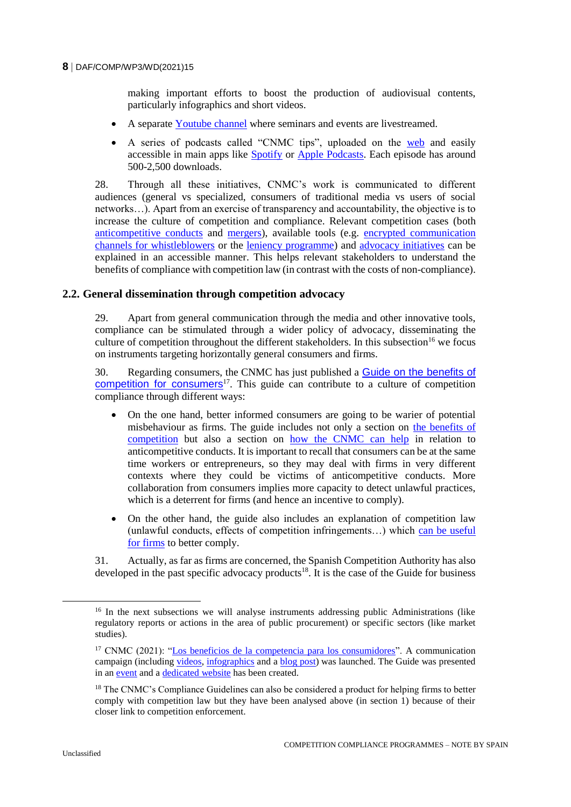making important efforts to boost the production of audiovisual contents, particularly infographics and short videos.

- A separate [Youtube channel](https://www.youtube.com/channel/UCsZQTH2tt9Y-IR9sYwMiBig) where seminars and events are livestreamed.
- A series of podcasts called "CNMC tips", uploaded on the [web](https://www.cnmc.es/consumidores/podcast-tips-cnmc) and easily accessible in main apps like [Spotify](https://open.spotify.com/show/33Ift7P7LT90x9KPMKkkNf?si=w_djo8DlQsKmlP9rSKSzDA) or [Apple Podcasts.](https://podcasts.apple.com/es/podcast/cnmc-tips/id1336002563) Each episode has around 500-2,500 downloads.

28. Through all these initiatives, CNMC's work is communicated to different audiences (general vs specialized, consumers of traditional media vs users of social networks…). Apart from an exercise of transparency and accountability, the objective is to increase the culture of competition and compliance. Relevant competition cases (both [anticompetitive conducts](https://blog.cnmc.es/2019/03/28/los-carteles-de-la-electrificacion-al-detalle-2/) and [mergers\)](https://blog.cnmc.es/2021/03/30/manual-de-instrucciones-para-entender-la-fusion-entre-caixabank-y-bankia-aprobada-por-la-cnmc/), available tools (e.g. [encrypted communication](https://blog.cnmc.es/2021/03/02/nuevo-sistema-encriptado-de-colaboracion-ciudadana-con-la-cnmc-sica/)  [channels for whistleblowers](https://blog.cnmc.es/2021/03/02/nuevo-sistema-encriptado-de-colaboracion-ciudadana-con-la-cnmc-sica/) or the [leniency programme\)](https://www.youtube.com/watch?v=D9j1TezFRWs) and [advocacy initiatives](https://www.youtube.com/watch?v=D9j1TezFRWs) can be explained in an accessible manner. This helps relevant stakeholders to understand the benefits of compliance with competition law (in contrast with the costs of non-compliance).

# **2.2. General dissemination through competition advocacy**

29. Apart from general communication through the media and other innovative tools, compliance can be stimulated through a wider policy of advocacy, disseminating the culture of competition throughout the different stakeholders. In this subsection<sup>16</sup> we focus on instruments targeting horizontally general consumers and firms.

30. Regarding consumers, the CNMC has just published a [Guide on the benefits of](https://www.cnmc.es/guia-competencia-para-consumidores)  [competition for consumers](https://www.cnmc.es/guia-competencia-para-consumidores)<sup>17</sup>. This guide can contribute to a culture of competition compliance through different ways:

- On the one hand, better informed consumers are going to be warier of potential misbehaviour as firms. The guide includes not only a section on [the benefits of](https://www.youtube.com/watch?v=9nFu8Lqg1LY&list=PL1jNqjsNpzdUEegWKrIsTKDAvJM7XIwG4&index=3)  [competition](https://www.youtube.com/watch?v=9nFu8Lqg1LY&list=PL1jNqjsNpzdUEegWKrIsTKDAvJM7XIwG4&index=3) but also a section on [how the CNMC can help](https://www.youtube.com/watch?v=zoep_pXdpTo&list=PL1jNqjsNpzdUEegWKrIsTKDAvJM7XIwG4&index=8) in relation to anticompetitive conducts. It is important to recall that consumers can be at the same time workers or entrepreneurs, so they may deal with firms in very different contexts where they could be victims of anticompetitive conducts. More collaboration from consumers implies more capacity to detect unlawful practices, which is a deterrent for firms (and hence an incentive to comply).
- On the other hand, the guide also includes an explanation of competition law (unlawful conducts, effects of competition infringements…) which [can be useful](https://www.youtube.com/watch?v=-tbJxOWFNFQ&list=PL1jNqjsNpzdUEegWKrIsTKDAvJM7XIwG4&index=4)  [for firms](https://www.youtube.com/watch?v=-tbJxOWFNFQ&list=PL1jNqjsNpzdUEegWKrIsTKDAvJM7XIwG4&index=4) to better comply.

31. Actually, as far as firms are concerned, the Spanish Competition Authority has also developed in the past specific advocacy products<sup>18</sup>. It is the case of the Guide for business

<sup>&</sup>lt;sup>16</sup> In the next subsections we will analyse instruments addressing public Administrations (like regulatory reports or actions in the area of public procurement) or specific sectors (like market studies).

<sup>&</sup>lt;sup>17</sup> CNMC (2021): ["Los beneficios de la competencia para los consumidores"](https://www.cnmc.es/sites/default/files/editor_contenidos/CNMC/Gu%C3%ADa_competencia_consumidores_.pdf). A communication campaign (including [videos,](https://www.youtube.com/watch?v=fc_66W0o-ws&list=PL1jNqjsNpzdUEegWKrIsTKDAvJM7XIwG4) [infographics](https://www.cnmc.es/sites/default/files/editor_contenidos/Notas%20de%20prensa/2021/Infograf%C3%ADas%20en%20PDF.zip) and a [blog post\)](https://blog.cnmc.es/2021/04/19/la-guia-de-competencia-para-consumidores-en-cinco-preguntas-y-respuestas/) was launched. The Guide was presented in an [event](https://urldefense.proofpoint.com/v2/url?u=https-3A__cnmc.us7.list-2Dmanage.com_track_click-3Fu-3D996a241a1277589de1e7f5373-26id-3D3bc7c8d9c3-26e-3D29cda8d595&d=DwMFaQ&c=euGZstcaTDllvimEN8b7jXrwqOf-v5A_CdpgnVfiiMM&r=O2ooROR0RTo3cmGtz_NQ4997EdhnG-Tn2y-dbjtqySk&m=YwQzcTvKdMZqutqiML7xI_iBa7O3rkv47g2zJmNQ_7A&s=KBYQwM9GOhlTSEKBFZ-6Ygf8aalp5DbT_onsovFxjgQ&e=) and a [dedicated website](https://www.cnmc.es/guia-competencia-para-consumidores) has been created.

<sup>&</sup>lt;sup>18</sup> The CNMC's Compliance Guidelines can also be considered a product for helping firms to better comply with competition law but they have been analysed above (in section 1) because of their closer link to competition enforcement.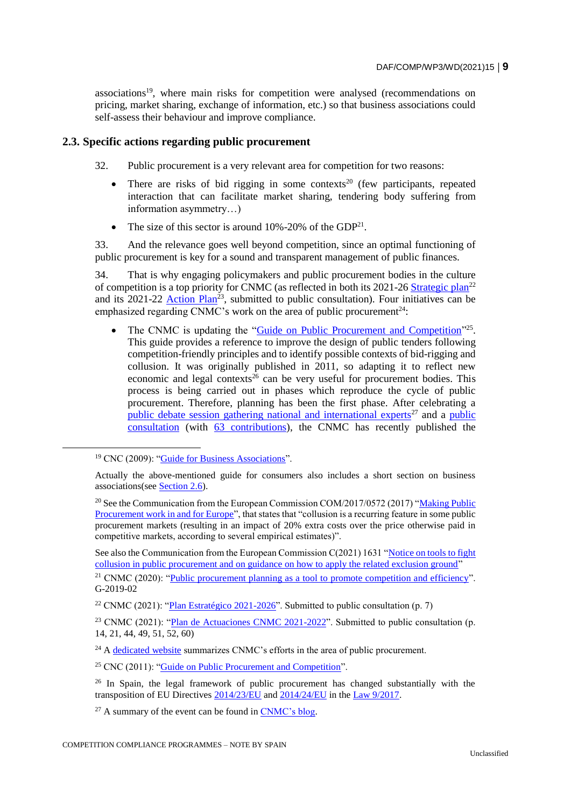associations<sup>19</sup>, where main risks for competition were analysed (recommendations on pricing, market sharing, exchange of information, etc.) so that business associations could self-assess their behaviour and improve compliance.

# **2.3. Specific actions regarding public procurement**

- 32. Public procurement is a very relevant area for competition for two reasons:
	- There are risks of bid rigging in some contexts<sup>20</sup> (few participants, repeated interaction that can facilitate market sharing, tendering body suffering from information asymmetry…)
	- The size of this sector is around  $10\% 20\%$  of the GDP<sup>21</sup>.

33. And the relevance goes well beyond competition, since an optimal functioning of public procurement is key for a sound and transparent management of public finances.

34. That is why engaging policymakers and public procurement bodies in the culture of competition is a top priority for CNMC (as reflected in both its 2021-26 [Strategic plan](https://www.cnmc.es/sites/default/files/editor_contenidos/Notas%20de%20prensa/2021/Plan%20Estrat%C3%A9gico%20CNMC%2021-26_DEF.pdf)<sup>22</sup> and its 2021-22 Action  $Plan^{23}$ , submitted to public consultation). Four initiatives can be emphasized regarding CNMC's work on the area of public procurement<sup>24</sup>:

• The CNMC is updating the ["Guide on Public Procurement and Competition"](https://www.cnmc.es/sites/default/files/1185705_10.pdf)<sup>25</sup>. This guide provides a reference to improve the design of public tenders following competition-friendly principles and to identify possible contexts of bid-rigging and collusion. It was originally published in 2011, so adapting it to reflect new economic and legal contexts<sup>26</sup> can be very useful for procurement bodies. This process is being carried out in phases which reproduce the cycle of public procurement. Therefore, planning has been the first phase. After celebrating a [public debate session gathering national and international experts](https://www.cnmc.es/jornada-la-planificacion-como-requisito-imprescindible)<sup>27</sup> and a public [consultation](https://www.cnmc.es/formulario-planificacion-contratacion) (with [63 contributions\)](https://www.cnmc.es/ambitos-de-actuacion/promocion-de-la-competencia/mejora-regulatoria/consultas-publicas/planificacion-de-la-contratacion-publica), the CNMC has recently published the

<sup>&</sup>lt;sup>19</sup> CNC (2009): ["Guide for Business Associations"](https://www.cnmc.es/guia-asociaciones-empresariales).

Actually the above-mentioned guide for consumers also includes a short section on business associations(see [Section 2.6\)](https://www.cnmc.es/sites/default/files/editor_contenidos/CNMC/Gu%C3%ADa_competencia_consumidores_.pdf).

<sup>&</sup>lt;sup>20</sup> See the Communication from the European Commission COM/2017/0572 (2017) "Making Public [Procurement work in and for Europe"](https://eur-lex.europa.eu/legal-content/EN/TXT/?uri=COM%3A2017%3A572%3AFIN), that states that "collusion is a recurring feature in some public procurement markets (resulting in an impact of 20% extra costs over the price otherwise paid in competitive markets, according to several empirical estimates)".

See also the Communication from the European Commission C(2021) 1631 ["Notice on tools to fight](https://ec.europa.eu/docsroom/documents/45004/attachments/1/translations/en/renditions/native)  [collusion in public procurement and on guidance on how to apply the related exclusion ground"](https://ec.europa.eu/docsroom/documents/45004/attachments/1/translations/en/renditions/native)

<sup>&</sup>lt;sup>21</sup> CNMC (2020): ["Public procurement planning as a tool to promote competition and efficiency"](https://www.cnmc.es/expedientes/g-2019-02). G-2019-02

<sup>&</sup>lt;sup>22</sup> CNMC (2021): ["Plan Estratégico 2021-2026"](https://www.cnmc.es/sites/default/files/editor_contenidos/Notas%20de%20prensa/2021/Plan%20Estrat%C3%A9gico%20CNMC%2021-26_DEF.pdf). Submitted to public consultation (p. 7)

<sup>&</sup>lt;sup>23</sup> CNMC (2021): ["Plan de Actuaciones CNMC 2021-2022"](https://www.cnmc.es/sites/default/files/editor_contenidos/Notas%20de%20prensa/2021/Plan%20Estrat%C3%A9gico%20CNMC%2021-26_DEF.pdf). Submitted to public consultation (p. 14, 21, 44, 49, 51, 52, 60)

 $24$  A [dedicated website](https://www.cnmc.es/en/ambitos-de-actuacion/promocion-de-la-competencia/contratacion-publica) summarizes CNMC's efforts in the area of public procurement.

<sup>25</sup> CNC (2011): ["Guide on Public Procurement and Competition"](https://www.cnmc.es/sites/default/files/1185705_10.pdf).

 $26$  In Spain, the legal framework of public procurement has changed substantially with the transposition of EU Directives [2014/23/EU](https://eur-lex.europa.eu/legal-content/EN/TXT/?uri=OJ%3AJOL_2014_094_R_0001_01) and [2014/24/EU](https://eur-lex.europa.eu/legal-content/EN/TXT/?uri=celex%3A32014L0024) in the [Law 9/2017.](https://www.boe.es/buscar/act.php?id=BOE-A-2017-12902)

 $27$  A summary of the event can be found in [CNMC's blog.](https://blog.cnmc.es/2019/12/16/que-esta-fallando-en-la-contratacion-publica/)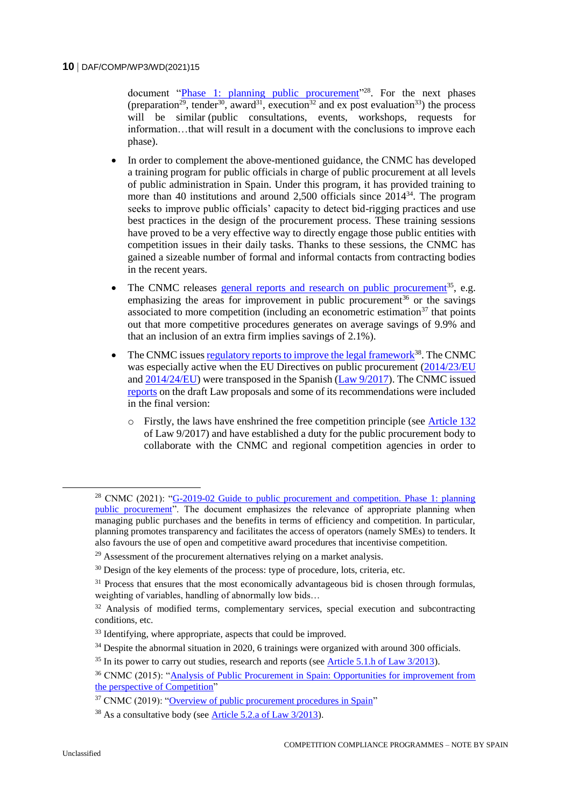document ["Phase 1: planning public procurement"](https://www.cnmc.es/sites/default/files/3373875_9.pdf)<sup>28</sup>. For the next phases (preparation<sup>29</sup>, tender<sup>30</sup>, award<sup>31</sup>, execution<sup>32</sup> and ex post evaluation<sup>33</sup>) the process will be similar (public consultations, events, workshops, requests for information…that will result in a document with the conclusions to improve each phase).

- In order to complement the above-mentioned guidance, the CNMC has developed a training program for public officials in charge of public procurement at all levels of public administration in Spain. Under this program, it has provided training to more than 40 institutions and around 2,500 officials since  $2014^{34}$ . The program seeks to improve public officials' capacity to detect bid-rigging practices and use best practices in the design of the procurement process. These training sessions have proved to be a very effective way to directly engage those public entities with competition issues in their daily tasks. Thanks to these sessions, the CNMC has gained a sizeable number of formal and informal contacts from contracting bodies in the recent years.
- The CNMC releases [general reports and research on public procurement](https://www.cnmc.es/en/ambitos-de-actuacion/promocion-de-la-competencia/contratacion-publica#documentos-analisis)<sup>35</sup>, e.g. emphasizing the areas for improvement in public procurement<sup>36</sup> or the savings associated to more competition (including an econometric estimation<sup>37</sup> that points out that more competitive procedures generates on average savings of 9.9% and that an inclusion of an extra firm implies savings of 2.1%).
- The CNMC issue[s regulatory reports to improve the legal framework](https://www.cnmc.es/en/listado/expedientes_promocion_aprovisionamiento_publico_informes_de_propuestas_normativas/block/250)<sup>38</sup>. The CNMC was especially active when the EU Directives on public procurement [\(2014/23/EU](https://eur-lex.europa.eu/legal-content/EN/TXT/?uri=OJ%3AJOL_2014_094_R_0001_01) and  $2014/24/EU$ ) were transposed in the Spanish (Law  $9/2017$ ). The CNMC issued [reports](https://www.cnmc.es/expedientes/ipncnmc01015) on the draft Law proposals and some of its recommendations were included in the final version:
	- o Firstly, the laws have enshrined the free competition principle (see [Article 132](https://www.boe.es/buscar/act.php?id=BOE-A-2017-12902&p=20210423&tn=1#a1-44) of Law 9/2017) and have established a duty for the public procurement body to collaborate with the CNMC and regional competition agencies in order to

<sup>&</sup>lt;sup>28</sup> CNMC (2021): "G-2019-02 Guide to public procurement and competition. Phase 1: planning [public procurement"](https://www.cnmc.es/sites/default/files/3373875_9.pdf). The document emphasizes the relevance of appropriate planning when managing public purchases and the benefits in terms of efficiency and competition. In particular, planning promotes transparency and facilitates the access of operators (namely SMEs) to tenders. It also favours the use of open and competitive award procedures that incentivise competition.

 $29$  Assessment of the procurement alternatives relying on a market analysis.

 $30$  Design of the key elements of the process: type of procedure, lots, criteria, etc.

 $31$  Process that ensures that the most economically advantageous bid is chosen through formulas. weighting of variables, handling of abnormally low bids…

 $32$  Analysis of modified terms, complementary services, special execution and subcontracting conditions, etc.

<sup>&</sup>lt;sup>33</sup> Identifying, where appropriate, aspects that could be improved.

<sup>&</sup>lt;sup>34</sup> Despite the abnormal situation in 2020, 6 trainings were organized with around 300 officials.

 $35$  In its power to carry out studies, research and reports (see Article 5.1.h of Law  $3/2013$ ).

<sup>36</sup> CNMC (2015): ["Analysis of Public Procurement in Spain: Opportunities for improvement from](https://www.cnmc.es/sites/default/files/1307517_10.pdf)  [the perspective of Competition"](https://www.cnmc.es/sites/default/files/1307517_10.pdf)

<sup>37</sup> CNMC (2019): ["Overview of public procurement procedures in Spain"](https://www.cnmc.es/sites/default/files/2797776.pdf)

<sup>38</sup> As a consultative body (see [Article 5.2.a of Law 3/2013\)](https://www.cnmc.es/file/64267/download).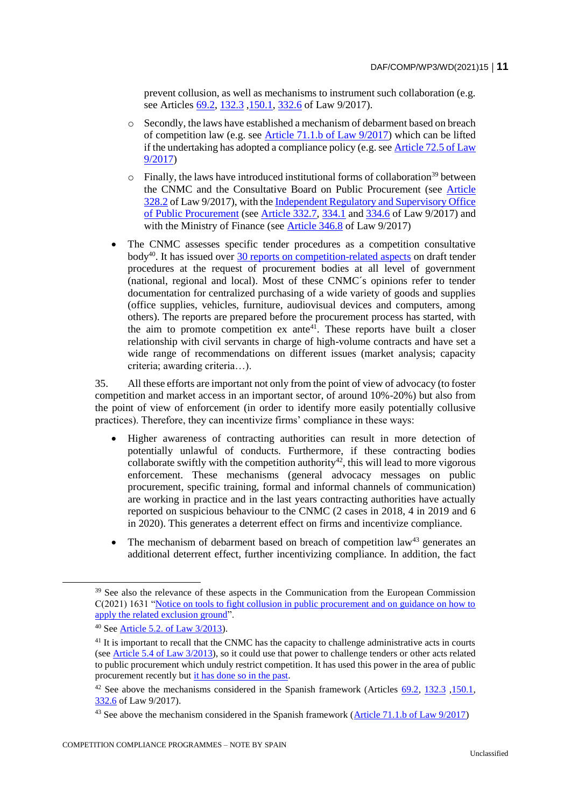prevent collusion, as well as mechanisms to instrument such collaboration (e.g. see Articles [69.2,](https://www.boe.es/buscar/act.php?id=BOE-A-2017-12902&p=20210423&tn=1#a6-11) [132.3](https://www.boe.es/buscar/act.php?id=BOE-A-2017-12902&p=20210423&tn=1#a1-44), 150.1, [332.6](https://www.boe.es/buscar/act.php?id=BOE-A-2017-12902&p=20210423&tn=1#a3-44) of Law 9/2017).

- o Secondly, the laws have established a mechanism of debarment based on breach of competition law (e.g. see [Article 71.1.b of Law 9/2017\)](https://www.boe.es/buscar/act.php?id=BOE-A-2017-12902&p=20210423&tn=1#a7-3) which can be lifted if the undertaking has adopted a compliance policy (e.g. see [Article 72.5 of Law](https://www.boe.es/buscar/act.php?id=BOE-A-2017-12902&p=20210423&tn=1#a7-4)  [9/2017\)](https://www.boe.es/buscar/act.php?id=BOE-A-2017-12902&p=20210423&tn=1#a7-4)
- $\circ$  Finally, the laws have introduced institutional forms of collaboration<sup>39</sup> between the CNMC and the Consultative Board on Public Procurement (see [Article](https://www.boe.es/buscar/act.php?id=BOE-A-2017-12902&p=20210423&tn=1#a3-40)  [328.2](https://www.boe.es/buscar/act.php?id=BOE-A-2017-12902&p=20210423&tn=1#a3-40) of Law 9/2017), with the [Independent Regulatory and Supervisory Office](https://www.hacienda.gob.es/es-ES/RSC/Paginas/OIReScon/oirescon.aspx)  [of Public Procurement](https://www.hacienda.gob.es/es-ES/RSC/Paginas/OIReScon/oirescon.aspx) (see [Article 332.7,](https://www.boe.es/buscar/act.php?id=BOE-A-2017-12902&p=20210423&tn=1#a3-44) [334.1](https://www.boe.es/buscar/act.php?id=BOE-A-2017-12902&p=20210423&tn=1#a3-46) an[d 334.6](https://www.boe.es/buscar/act.php?id=BOE-A-2017-12902&p=20210423&tn=1#a3-46) of Law 9/2017) and with the Ministry of Finance (see [Article 346.8](https://www.boe.es/buscar/act.php?id=BOE-A-2017-12902&p=20210423&tn=1#a3-58) of Law 9/2017)
- The CNMC assesses specific tender procedures as a competition consultative body<sup>40</sup>. It has issued over [30 reports on competition-related aspects](https://www.cnmc.es/en/listado/expedientes_promocion_aprovisionamiento_publico_informes/block/250) on draft tender procedures at the request of procurement bodies at all level of government (national, regional and local). Most of these CNMC´s opinions refer to tender documentation for centralized purchasing of a wide variety of goods and supplies (office supplies, vehicles, furniture, audiovisual devices and computers, among others). The reports are prepared before the procurement process has started, with the aim to promote competition ex ante<sup>41</sup>. These reports have built a closer relationship with civil servants in charge of high-volume contracts and have set a wide range of recommendations on different issues (market analysis; capacity criteria; awarding criteria…).

35. All these efforts are important not only from the point of view of advocacy (to foster competition and market access in an important sector, of around 10%-20%) but also from the point of view of enforcement (in order to identify more easily potentially collusive practices). Therefore, they can incentivize firms' compliance in these ways:

- Higher awareness of contracting authorities can result in more detection of potentially unlawful of conducts. Furthermore, if these contracting bodies collaborate swiftly with the competition authority<sup>42</sup>, this will lead to more vigorous enforcement. These mechanisms (general advocacy messages on public procurement, specific training, formal and informal channels of communication) are working in practice and in the last years contracting authorities have actually reported on suspicious behaviour to the CNMC (2 cases in 2018, 4 in 2019 and 6 in 2020). This generates a deterrent effect on firms and incentivize compliance.
- The mechanism of debarment based on breach of competition  $law<sup>43</sup>$  generates an additional deterrent effect, further incentivizing compliance. In addition, the fact

<sup>&</sup>lt;sup>39</sup> See also the relevance of these aspects in the Communication from the European Commission C(2021) 1631 ["Notice on tools to fight collusion in public procurement and on guidance on how to](https://ec.europa.eu/docsroom/documents/45004/attachments/1/translations/en/renditions/native)  [apply the related exclusion ground"](https://ec.europa.eu/docsroom/documents/45004/attachments/1/translations/en/renditions/native).

<sup>40</sup> See [Article 5.2. of Law 3/2013\)](https://www.cnmc.es/file/64267/download).

<sup>&</sup>lt;sup>41</sup> It is important to recall that the CNMC has the capacity to challenge administrative acts in courts (see [Article 5.4 of](https://www.cnmc.es/file/64267/download) Law 3/2013), so it could use that power to challenge tenders or other acts related to public procurement which unduly restrict competition. It has used this power in the area of public procurement recently but [it has done so in the past.](https://www.cnmc.es/en/ambitos-de-actuacion/promocion-de-la-competencia/contratacion-publica#impugnaciones)

<sup>&</sup>lt;sup>42</sup> See above the mechanisms considered in the Spanish framework (Articles  $69.2$ , [132.3](https://www.boe.es/buscar/act.php?id=BOE-A-2017-12902&p=20210423&tn=1#a1-44), 150.1, [332.6](https://www.boe.es/buscar/act.php?id=BOE-A-2017-12902&p=20210423&tn=1#a3-44) of Law 9/2017).

<sup>&</sup>lt;sup>43</sup> See above the mechanism considered in the Spanish framework (Article 71.1.b of Law  $9/2017$ )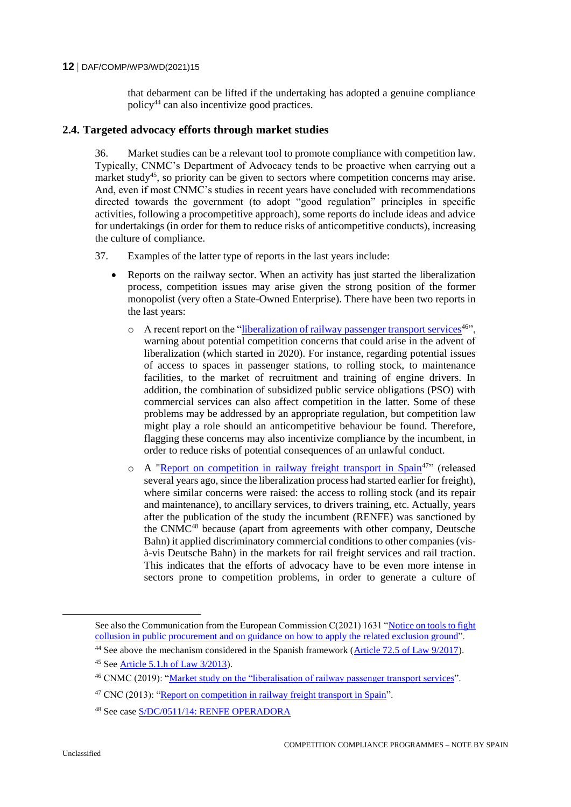that debarment can be lifted if the undertaking has adopted a genuine compliance policy<sup>44</sup> can also incentivize good practices.

#### **2.4. Targeted advocacy efforts through market studies**

36. Market studies can be a relevant tool to promote compliance with competition law. Typically, CNMC's Department of Advocacy tends to be proactive when carrying out a market study<sup>45</sup>, so priority can be given to sectors where competition concerns may arise. And, even if most CNMC's studies in recent years have concluded with recommendations directed towards the government (to adopt "good regulation" principles in specific activities, following a procompetitive approach), some reports do include ideas and advice for undertakings (in order for them to reduce risks of anticompetitive conducts), increasing the culture of compliance.

- 37. Examples of the latter type of reports in the last years include:
	- Reports on the railway sector. When an activity has just started the liberalization process, competition issues may arise given the strong position of the former monopolist (very often a State-Owned Enterprise). There have been two reports in the last years:
		- $\circ$  A recent report on the ["liberalization of railway passenger transport services](https://www.cnmc.es/expedientes/ecnmc00419-0)<sup>46"</sup>, warning about potential competition concerns that could arise in the advent of liberalization (which started in 2020). For instance, regarding potential issues of access to spaces in passenger stations, to rolling stock, to maintenance facilities, to the market of recruitment and training of engine drivers. In addition, the combination of subsidized public service obligations (PSO) with commercial services can also affect competition in the latter. Some of these problems may be addressed by an appropriate regulation, but competition law might play a role should an anticompetitive behaviour be found. Therefore, flagging these concerns may also incentivize compliance by the incumbent, in order to reduce risks of potential consequences of an unlawful conduct.
		- o A ["Report on competition in railway freight transport in Spain](https://www.cnmc.es/expedientes/e-2010-02)<sup>47</sup>" (released several years ago, since the liberalization process had started earlier for freight), where similar concerns were raised: the access to rolling stock (and its repair and maintenance), to ancillary services, to drivers training, etc. Actually, years after the publication of the study the incumbent (RENFE) was sanctioned by the CNMC<sup>48</sup> because (apart from agreements with other company, Deutsche Bahn) it applied discriminatory commercial conditions to other companies (visà-vis Deutsche Bahn) in the markets for rail freight services and rail traction. This indicates that the efforts of advocacy have to be even more intense in sectors prone to competition problems, in order to generate a culture of

See also the Communication from the European Commission C(2021) 1631 ["Notice on tools to fight](https://ec.europa.eu/docsroom/documents/45004/attachments/1/translations/en/renditions/native)  [collusion in public procurement and on guidance on how to apply the](https://ec.europa.eu/docsroom/documents/45004/attachments/1/translations/en/renditions/native) related exclusion ground".

<sup>&</sup>lt;sup>44</sup> See above the mechanism considered in the Spanish framework [\(Article 72.5 of Law 9/2017\)](https://www.boe.es/buscar/act.php?id=BOE-A-2017-12902&p=20210423&tn=1#a7-4).

<sup>45</sup> See [Article 5.1.h of Law 3/2013\)](https://www.cnmc.es/file/64267/download).

<sup>46</sup> CNMC (2019): ["Ma](https://www.cnmc.es/sites/default/files/1185705_10.pdf)rket [study](https://www.cnmc.es/expedientes/ecnmc00419-0) on the "liberalisation of railway passenger transport services".

<sup>47</sup> CNC (2013): ["Report on competition in railway freight transport in Spain"](https://www.cnmc.es/expedientes/e-2010-02).

<sup>48</sup> See case [S/DC/0511/14: RENFE OPERADORA](https://www.cnmc.es/expedientes/sdc051114)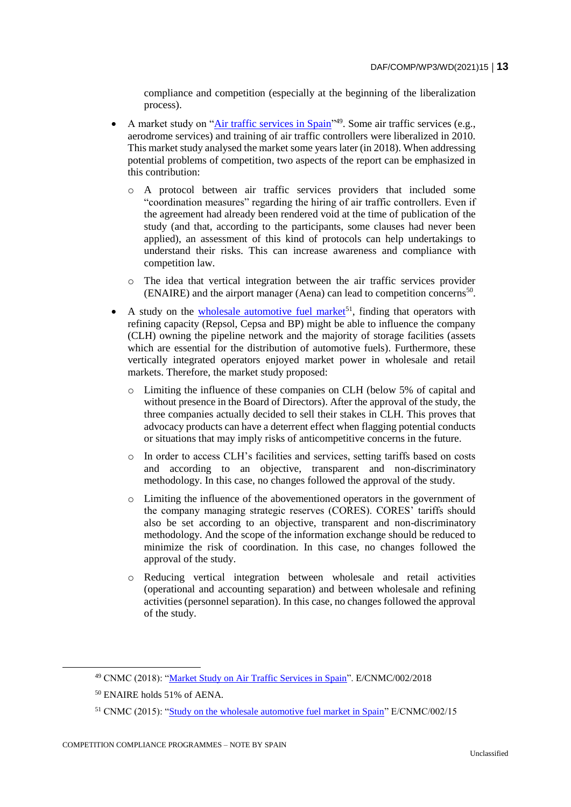compliance and competition (especially at the beginning of the liberalization process).

- A market study on ["Air traffic services in Spain"](https://www.cnmc.es/expedientes/ecnmc00218)<sup>49</sup>. Some air traffic services (e.g., aerodrome services) and training of air traffic controllers were liberalized in 2010. This market study analysed the market some years later (in 2018). When addressing potential problems of competition, two aspects of the report can be emphasized in this contribution:
	- o A protocol between air traffic services providers that included some "coordination measures" regarding the hiring of air traffic controllers. Even if the agreement had already been rendered void at the time of publication of the study (and that, according to the participants, some clauses had never been applied), an assessment of this kind of protocols can help undertakings to understand their risks. This can increase awareness and compliance with competition law.
	- o The idea that vertical integration between the air traffic services provider (ENAIRE) and the airport manager (Aena) can lead to competition concerns<sup>50</sup> .
- A study on the [wholesale automotive fuel market](https://www.cnmc.es/expedientes/ecnmc00215)<sup>51</sup>, finding that operators with refining capacity (Repsol, Cepsa and BP) might be able to influence the company (CLH) owning the pipeline network and the majority of storage facilities (assets which are essential for the distribution of automotive fuels). Furthermore, these vertically integrated operators enjoyed market power in wholesale and retail markets. Therefore, the market study proposed:
	- o Limiting the influence of these companies on CLH (below 5% of capital and without presence in the Board of Directors). After the approval of the study, the three companies actually decided to sell their stakes in CLH. This proves that advocacy products can have a deterrent effect when flagging potential conducts or situations that may imply risks of anticompetitive concerns in the future.
	- o In order to access CLH's facilities and services, setting tariffs based on costs and according to an objective, transparent and non-discriminatory methodology. In this case, no changes followed the approval of the study.
	- o Limiting the influence of the abovementioned operators in the government of the company managing strategic reserves (CORES). CORES' tariffs should also be set according to an objective, transparent and non-discriminatory methodology. And the scope of the information exchange should be reduced to minimize the risk of coordination. In this case, no changes followed the approval of the study.
	- o Reducing vertical integration between wholesale and retail activities (operational and accounting separation) and between wholesale and refining activities (personnel separation). In this case, no changes followed the approval of the study.

<sup>49</sup> CNMC (2018): ["Market Study on Air Traffic Services in Spain"](https://www.cnmc.es/expedientes/ecnmc00218). E/CNMC/002/2018

<sup>50</sup> ENAIRE holds 51% of AENA.

<sup>&</sup>lt;sup>51</sup> CNMC (2015): ["Study on the wholesale automotive fuel market in Spain"](https://www.cnmc.es/expedientes/ecnmc00215) E/CNMC/002/15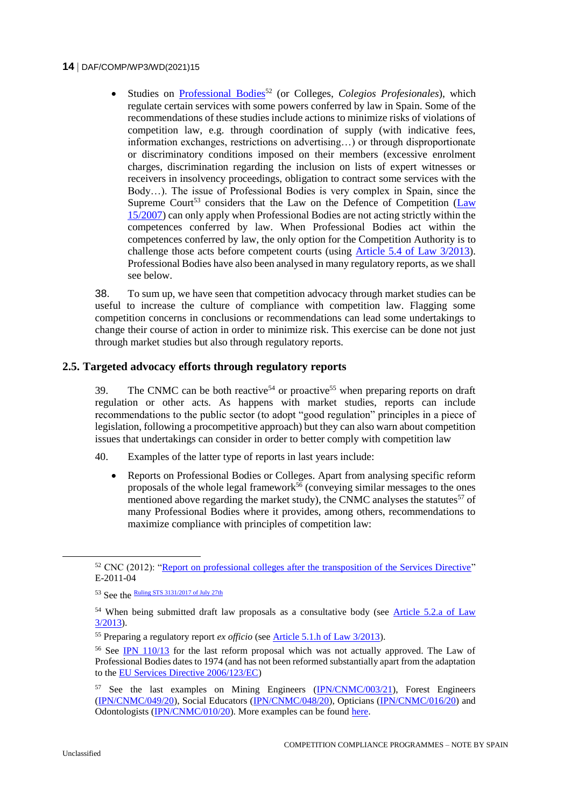Studies on [Professional Bodies](https://www.cnmc.es/expedientes/e-2011-04)<sup>52</sup> (or Colleges, *Colegios Profesionales*), which regulate certain services with some powers conferred by law in Spain. Some of the recommendations of these studies include actions to minimize risks of violations of competition law, e.g. through coordination of supply (with indicative fees, information exchanges, restrictions on advertising…) or through disproportionate or discriminatory conditions imposed on their members (excessive enrolment charges, discrimination regarding the inclusion on lists of expert witnesses or receivers in insolvency proceedings, obligation to contract some services with the Body…). The issue of Professional Bodies is very complex in Spain, since the Supreme Court<sup>53</sup> considers that the Law on the Defence of Competition (Law [15/2007\)](https://boe.es/buscar/act.php?id=BOE-A-2007-12946) can only apply when Professional Bodies are not acting strictly within the competences conferred by law. When Professional Bodies act within the competences conferred by law, the only option for the Competition Authority is to challenge those acts before competent courts (using [Article 5.4 of Law 3/2013\)](https://www.cnmc.es/file/64267/download). Professional Bodies have also been analysed in many regulatory reports, as we shall see below.

38. To sum up, we have seen that competition advocacy through market studies can be useful to increase the culture of compliance with competition law. Flagging some competition concerns in conclusions or recommendations can lead some undertakings to change their course of action in order to minimize risk. This exercise can be done not just through market studies but also through regulatory reports.

# **2.5. Targeted advocacy efforts through regulatory reports**

39. The CNMC can be both reactive<sup>54</sup> or proactive<sup>55</sup> when preparing reports on draft regulation or other acts. As happens with market studies, reports can include recommendations to the public sector (to adopt "good regulation" principles in a piece of legislation, following a procompetitive approach) but they can also warn about competition issues that undertakings can consider in order to better comply with competition law

- 40. Examples of the latter type of reports in last years include:
	- Reports on Professional Bodies or Colleges. Apart from analysing specific reform proposals of the whole legal framework<sup>56</sup> (conveying similar messages to the ones mentioned above regarding the market study), the CNMC analyses the statutes<sup>57</sup> of many Professional Bodies where it provides, among others, recommendations to maximize compliance with principles of competition law:

<sup>&</sup>lt;sup>52</sup> CNC (2012): ["Report on professional colleges after the transposition of the Services Directive"](https://www.cnmc.es/expedientes/e-2011-04) E-2011-04

<sup>53</sup> See the **Ruling STS** 3131/2017 of July 27<sup>th</sup>

<sup>&</sup>lt;sup>54</sup> When being submitted draft law proposals as a consultative body (see Article 5.2.a of Law [3/2013\)](https://www.cnmc.es/file/64267/download).

<sup>55</sup> Preparing a regulatory report *ex officio* (se[e Article 5.1.h of Law 3/2013\)](https://www.cnmc.es/file/64267/download).

<sup>56</sup> See [IPN 110/13](https://www.cnmc.es/expedientes/ipn-11013) for the last reform proposal which was not actually approved. The Law of Professional Bodies dates to 1974 (and has not been reformed substantially apart from the adaptation to the [EU Services Directive 2006/123/EC\)](https://eur-lex.europa.eu/legal-content/EN/TXT/?uri=celex%3A32006L0123)

<sup>&</sup>lt;sup>57</sup> See the last examples on Mining Engineers [\(IPN/CNMC/003/21\)](https://www.cnmc.es/expedientes/ipncnmc00321), Forest Engineers [\(IPN/CNMC/049/20\)](https://www.cnmc.es/expedientes/ipncnmc04920), Social Educators [\(IPN/CNMC/048/20\)](https://www.cnmc.es/expedientes/ipncnmc04820), Opticians [\(IPN/CNMC/016/20\)](https://www.cnmc.es/expedientes/ipncnmc01620) and Odontologists [\(IPN/CNMC/010/20\)](https://www.cnmc.es/expedientes/ipncnmc01020). More examples can be found [here.](https://www.cnmc.es/ambitos-de-actuacion/promocion-de-la-competencia/mejora-regulatoria/informes?page=0)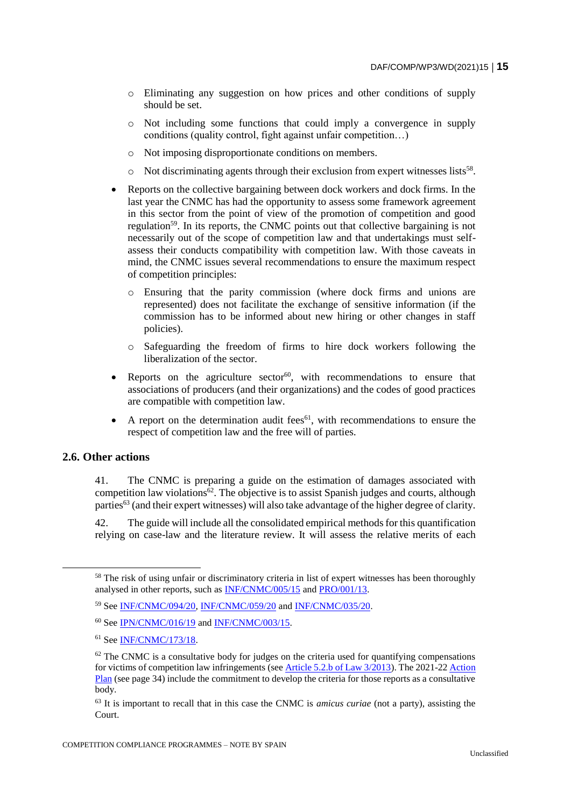- o Eliminating any suggestion on how prices and other conditions of supply should be set.
- o Not including some functions that could imply a convergence in supply conditions (quality control, fight against unfair competition…)
- o Not imposing disproportionate conditions on members.
- o Not discriminating agents through their exclusion from expert witnesses lists<sup>58</sup>.
- Reports on the collective bargaining between dock workers and dock firms. In the last year the CNMC has had the opportunity to assess some framework agreement in this sector from the point of view of the promotion of competition and good regulation<sup>59</sup>. In its reports, the CNMC points out that collective bargaining is not necessarily out of the scope of competition law and that undertakings must selfassess their conducts compatibility with competition law. With those caveats in mind, the CNMC issues several recommendations to ensure the maximum respect of competition principles:
	- o Ensuring that the parity commission (where dock firms and unions are represented) does not facilitate the exchange of sensitive information (if the commission has to be informed about new hiring or other changes in staff policies).
	- o Safeguarding the freedom of firms to hire dock workers following the liberalization of the sector.
- Reports on the agriculture sector<sup>60</sup>, with recommendations to ensure that associations of producers (and their organizations) and the codes of good practices are compatible with competition law.
- A report on the determination audit fees<sup>61</sup>, with recommendations to ensure the respect of competition law and the free will of parties.

#### **2.6. Other actions**

41. The CNMC is preparing a guide on the estimation of damages associated with competition law violations $62$ . The objective is to assist Spanish judges and courts, although parties<sup>63</sup> (and their expert witnesses) will also take advantage of the higher degree of clarity.

42. The guide will include all the consolidated empirical methods for this quantification relying on case-law and the literature review. It will assess the relative merits of each

<sup>&</sup>lt;sup>58</sup> The risk of using unfair or discriminatory criteria in list of expert witnesses has been thoroughly analysed in other reports, such as [INF/CNMC/005/15](https://www.cnmc.es/expedientes/infcnmc00515) and [PRO/001/13.](https://www.cnmc.es/expedientes/pro00113)

<sup>59</sup> See [INF/CNMC/094/20,](https://www.cnmc.es/expedientes/infcnmc09420) [INF/CNMC/059/20](https://www.cnmc.es/expedientes/infcnmc05920) and [INF/CNMC/035/20.](https://www.cnmc.es/expedientes/infcnmc03520)

<sup>60</sup> See [IPN/CNMC/016/19](https://www.cnmc.es/expedientes/ipncnmc01619) and [INF/CNMC/003/15.](https://www.cnmc.es/expedientes/infcnmc00315)

<sup>61</sup> See [INF/CNMC/173/18.](https://www.cnmc.es/expedientes/infcnmc17318)

 $62$  The CNMC is a consultative body for judges on the criteria used for quantifying compensations for victims of competition law infringements (se[e Article 5.2.b of Law 3/2013\)](https://www.cnmc.es/file/64267/download). The 2021-22 [Action](https://www.cnmc.es/consultas-publicas/cnmc/plan-actuacion-2021-2022)  [Plan](https://www.cnmc.es/consultas-publicas/cnmc/plan-actuacion-2021-2022) (see page 34) include the commitment to develop the criteria for those reports as a consultative body.

<sup>63</sup> It is important to recall that in this case the CNMC is *amicus curiae* (not a party), assisting the Court.